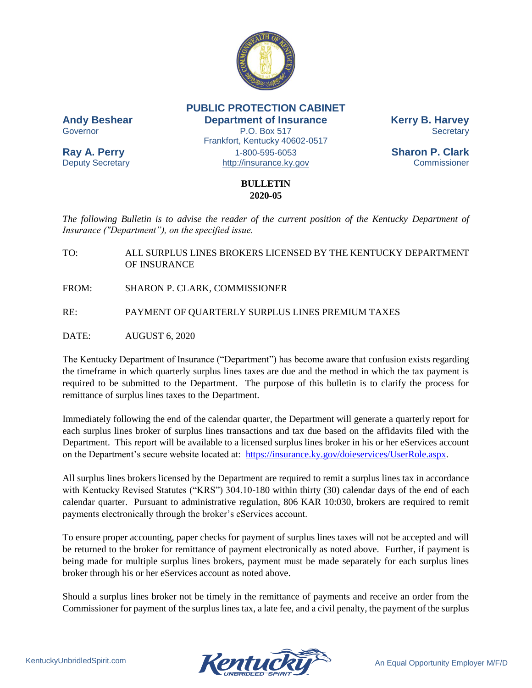

**PUBLIC PROTECTION CABINET**

**Andy Beshear Department of Insurance Kerry B. Harvey** Governor **P.O. Box 517** Secretary Frankfort, Kentucky 40602-0517 **Ray A. Perry** 1-800-595-6053 **Sharon P. Clark** Deputy Secretary **Example 20** [http://insurance.ky.gov](http://insurance.ky.gov/) Commissioner

## **BULLETIN 2020-05**

*The following Bulletin is to advise the reader of the current position of the Kentucky Department of Insurance ("Department"), on the specified issue.*

TO: ALL SURPLUS LINES BROKERS LICENSED BY THE KENTUCKY DEPARTMENT OF INSURANCE

FROM: SHARON P. CLARK, COMMISSIONER

RE: PAYMENT OF QUARTERLY SURPLUS LINES PREMIUM TAXES

DATE: AUGUST 6, 2020

The Kentucky Department of Insurance ("Department") has become aware that confusion exists regarding the timeframe in which quarterly surplus lines taxes are due and the method in which the tax payment is required to be submitted to the Department. The purpose of this bulletin is to clarify the process for remittance of surplus lines taxes to the Department.

Immediately following the end of the calendar quarter, the Department will generate a quarterly report for each surplus lines broker of surplus lines transactions and tax due based on the affidavits filed with the Department. This report will be available to a licensed surplus lines broker in his or her eServices account on the Department's secure website located at: [https://insurance.ky.gov/doieservices/UserRole.aspx.](https://insurance.ky.gov/doieservices/UserRole.aspx)

All surplus lines brokers licensed by the Department are required to remit a surplus lines tax in accordance with Kentucky Revised Statutes ("KRS") 304.10-180 within thirty (30) calendar days of the end of each calendar quarter. Pursuant to administrative regulation, 806 KAR 10:030, brokers are required to remit payments electronically through the broker's eServices account.

To ensure proper accounting, paper checks for payment of surplus lines taxes will not be accepted and will be returned to the broker for remittance of payment electronically as noted above. Further, if payment is being made for multiple surplus lines brokers, payment must be made separately for each surplus lines broker through his or her eServices account as noted above.

Should a surplus lines broker not be timely in the remittance of payments and receive an order from the Commissioner for payment of the surplus lines tax, a late fee, and a civil penalty, the payment of the surplus